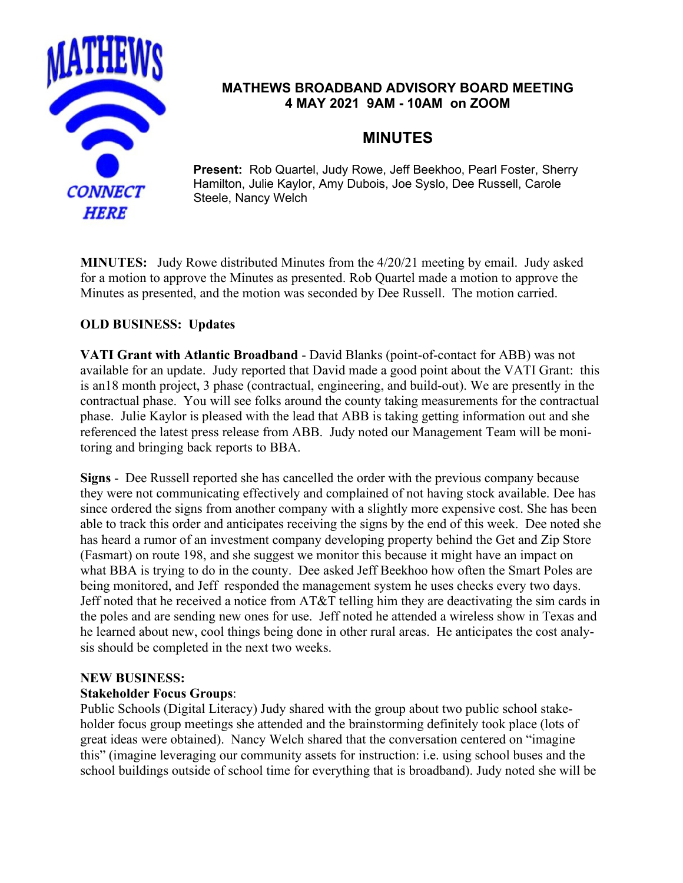

## **MATHEWS BROADBAND ADVISORY BOARD MEETING 4 MAY 2021 9AM - 10AM on ZOOM**

# **MINUTES**

**Present:** Rob Quartel, Judy Rowe, Jeff Beekhoo, Pearl Foster, Sherry Hamilton, Julie Kaylor, Amy Dubois, Joe Syslo, Dee Russell, Carole Steele, Nancy Welch

**MINUTES:** Judy Rowe distributed Minutes from the 4/20/21 meeting by email. Judy asked for a motion to approve the Minutes as presented. Rob Quartel made a motion to approve the Minutes as presented, and the motion was seconded by Dee Russell. The motion carried.

# **OLD BUSINESS: Updates**

**VATI Grant with Atlantic Broadband** - David Blanks (point-of-contact for ABB) was not available for an update. Judy reported that David made a good point about the VATI Grant: this is an18 month project, 3 phase (contractual, engineering, and build-out). We are presently in the contractual phase. You will see folks around the county taking measurements for the contractual phase. Julie Kaylor is pleased with the lead that ABB is taking getting information out and she referenced the latest press release from ABB. Judy noted our Management Team will be monitoring and bringing back reports to BBA.

**Signs** - Dee Russell reported she has cancelled the order with the previous company because they were not communicating effectively and complained of not having stock available. Dee has since ordered the signs from another company with a slightly more expensive cost. She has been able to track this order and anticipates receiving the signs by the end of this week. Dee noted she has heard a rumor of an investment company developing property behind the Get and Zip Store (Fasmart) on route 198, and she suggest we monitor this because it might have an impact on what BBA is trying to do in the county. Dee asked Jeff Beekhoo how often the Smart Poles are being monitored, and Jeff responded the management system he uses checks every two days. Jeff noted that he received a notice from AT&T telling him they are deactivating the sim cards in the poles and are sending new ones for use. Jeff noted he attended a wireless show in Texas and he learned about new, cool things being done in other rural areas. He anticipates the cost analysis should be completed in the next two weeks.

#### **NEW BUSINESS:**

### **Stakeholder Focus Groups**:

Public Schools (Digital Literacy) Judy shared with the group about two public school stakeholder focus group meetings she attended and the brainstorming definitely took place (lots of great ideas were obtained). Nancy Welch shared that the conversation centered on "imagine this" (imagine leveraging our community assets for instruction: i.e. using school buses and the school buildings outside of school time for everything that is broadband). Judy noted she will be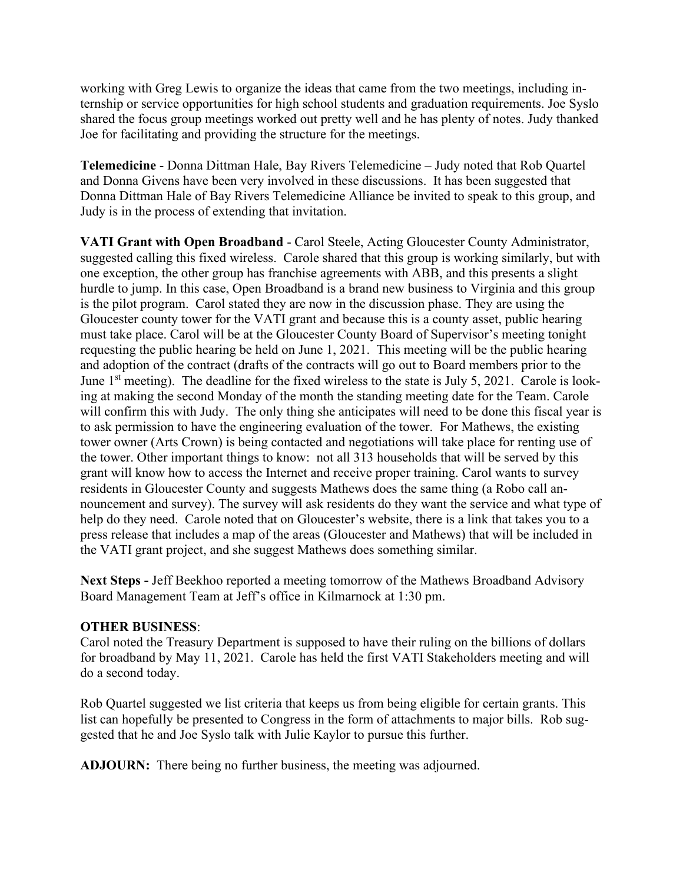working with Greg Lewis to organize the ideas that came from the two meetings, including internship or service opportunities for high school students and graduation requirements. Joe Syslo shared the focus group meetings worked out pretty well and he has plenty of notes. Judy thanked Joe for facilitating and providing the structure for the meetings.

**Telemedicine** - Donna Dittman Hale, Bay Rivers Telemedicine – Judy noted that Rob Quartel and Donna Givens have been very involved in these discussions. It has been suggested that Donna Dittman Hale of Bay Rivers Telemedicine Alliance be invited to speak to this group, and Judy is in the process of extending that invitation.

**VATI Grant with Open Broadband** - Carol Steele, Acting Gloucester County Administrator, suggested calling this fixed wireless. Carole shared that this group is working similarly, but with one exception, the other group has franchise agreements with ABB, and this presents a slight hurdle to jump. In this case, Open Broadband is a brand new business to Virginia and this group is the pilot program. Carol stated they are now in the discussion phase. They are using the Gloucester county tower for the VATI grant and because this is a county asset, public hearing must take place. Carol will be at the Gloucester County Board of Supervisor's meeting tonight requesting the public hearing be held on June 1, 2021. This meeting will be the public hearing and adoption of the contract (drafts of the contracts will go out to Board members prior to the June  $1<sup>st</sup>$  meeting). The deadline for the fixed wireless to the state is July 5, 2021. Carole is looking at making the second Monday of the month the standing meeting date for the Team. Carole will confirm this with Judy. The only thing she anticipates will need to be done this fiscal year is to ask permission to have the engineering evaluation of the tower. For Mathews, the existing tower owner (Arts Crown) is being contacted and negotiations will take place for renting use of the tower. Other important things to know: not all 313 households that will be served by this grant will know how to access the Internet and receive proper training. Carol wants to survey residents in Gloucester County and suggests Mathews does the same thing (a Robo call announcement and survey). The survey will ask residents do they want the service and what type of help do they need. Carole noted that on Gloucester's website, there is a link that takes you to a press release that includes a map of the areas (Gloucester and Mathews) that will be included in the VATI grant project, and she suggest Mathews does something similar.

**Next Steps -** Jeff Beekhoo reported a meeting tomorrow of the Mathews Broadband Advisory Board Management Team at Jeff's office in Kilmarnock at 1:30 pm.

### **OTHER BUSINESS**:

Carol noted the Treasury Department is supposed to have their ruling on the billions of dollars for broadband by May 11, 2021. Carole has held the first VATI Stakeholders meeting and will do a second today.

Rob Quartel suggested we list criteria that keeps us from being eligible for certain grants. This list can hopefully be presented to Congress in the form of attachments to major bills. Rob suggested that he and Joe Syslo talk with Julie Kaylor to pursue this further.

**ADJOURN:** There being no further business, the meeting was adjourned.